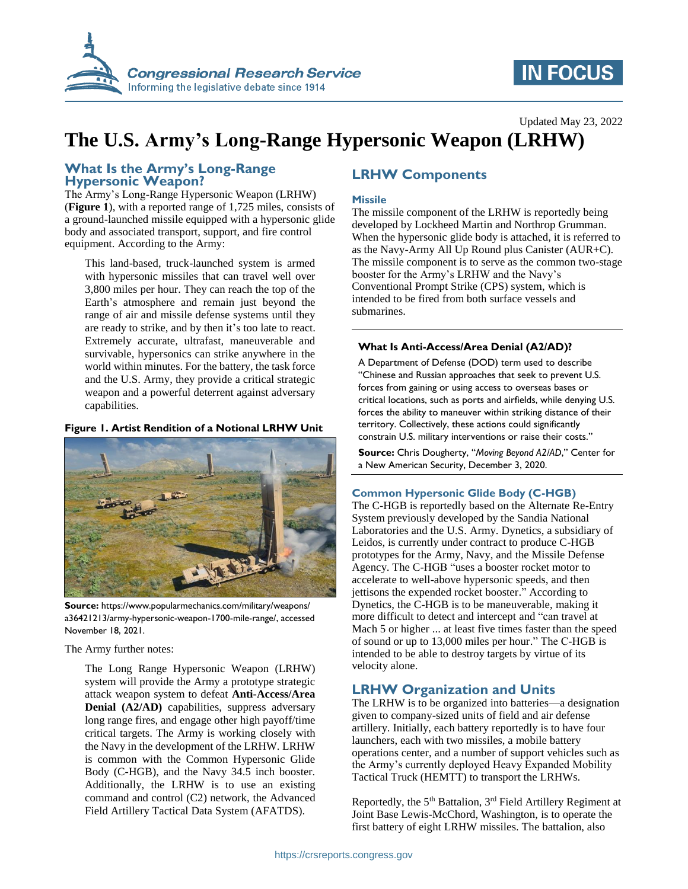

# **IN FOCUS**

## Updated May 23, 2022

# **The U.S. Army's Long-Range Hypersonic Weapon (LRHW)**

## **What Is the Army's Long-Range Hypersonic Weapon?**

The Army's Long-Range Hypersonic Weapon (LRHW) (**[Figure](#page-0-0) 1**), with a reported range of 1,725 miles, consists of a ground-launched missile equipped with a hypersonic glide body and associated transport, support, and fire control equipment. According to the Army:

This land-based, truck-launched system is armed with hypersonic missiles that can travel well over 3,800 miles per hour. They can reach the top of the Earth's atmosphere and remain just beyond the range of air and missile defense systems until they are ready to strike, and by then it's too late to react. Extremely accurate, ultrafast, maneuverable and survivable, hypersonics can strike anywhere in the world within minutes. For the battery, the task force and the U.S. Army, they provide a critical strategic weapon and a powerful deterrent against adversary capabilities.

#### <span id="page-0-0"></span>**Figure 1. Artist Rendition of a Notional LRHW Unit**



**Source:** https://www.popularmechanics.com/military/weapons/ a36421213/army-hypersonic-weapon-1700-mile-range/, accessed November 18, 2021.

The Army further notes:

The Long Range Hypersonic Weapon (LRHW) system will provide the Army a prototype strategic attack weapon system to defeat **Anti-Access/Area Denial (A2/AD)** capabilities, suppress adversary long range fires, and engage other high payoff/time critical targets. The Army is working closely with the Navy in the development of the LRHW. LRHW is common with the Common Hypersonic Glide Body (C-HGB), and the Navy 34.5 inch booster. Additionally, the LRHW is to use an existing command and control (C2) network, the Advanced Field Artillery Tactical Data System (AFATDS).

## **LRHW Components**

### **Missile**

The missile component of the LRHW is reportedly being developed by Lockheed Martin and Northrop Grumman. When the hypersonic glide body is attached, it is referred to as the Navy-Army All Up Round plus Canister (AUR+C). The missile component is to serve as the common two-stage booster for the Army's LRHW and the Navy's Conventional Prompt Strike (CPS) system, which is intended to be fired from both surface vessels and submarines.

#### **What Is Anti-Access/Area Denial (A2/AD)?**

A Department of Defense (DOD) term used to describe "Chinese and Russian approaches that seek to prevent U.S. forces from gaining or using access to overseas bases or critical locations, such as ports and airfields, while denying U.S. forces the ability to maneuver within striking distance of their territory. Collectively, these actions could significantly constrain U.S. military interventions or raise their costs."

**Source:** Chris Dougherty, "*Moving Beyond A2/AD*," Center for a New American Security, December 3, 2020.

#### **Common Hypersonic Glide Body (C-HGB)**

The C-HGB is reportedly based on the Alternate Re-Entry System previously developed by the Sandia National Laboratories and the U.S. Army. Dynetics, a subsidiary of Leidos, is currently under contract to produce C-HGB prototypes for the Army, Navy, and the Missile Defense Agency. The C-HGB "uses a booster rocket motor to accelerate to well-above hypersonic speeds, and then jettisons the expended rocket booster." According to Dynetics, the C-HGB is to be maneuverable, making it more difficult to detect and intercept and "can travel at Mach 5 or higher ... at least five times faster than the speed of sound or up to 13,000 miles per hour." The C-HGB is intended to be able to destroy targets by virtue of its velocity alone.

## **LRHW Organization and Units**

The LRHW is to be organized into batteries—a designation given to company-sized units of field and air defense artillery. Initially, each battery reportedly is to have four launchers, each with two missiles, a mobile battery operations center, and a number of support vehicles such as the Army's currently deployed Heavy Expanded Mobility Tactical Truck (HEMTT) to transport the LRHWs.

Reportedly, the  $5<sup>th</sup>$  Battalion,  $3<sup>rd</sup>$  Field Artillery Regiment at Joint Base Lewis-McChord, Washington, is to operate the first battery of eight LRHW missiles. The battalion, also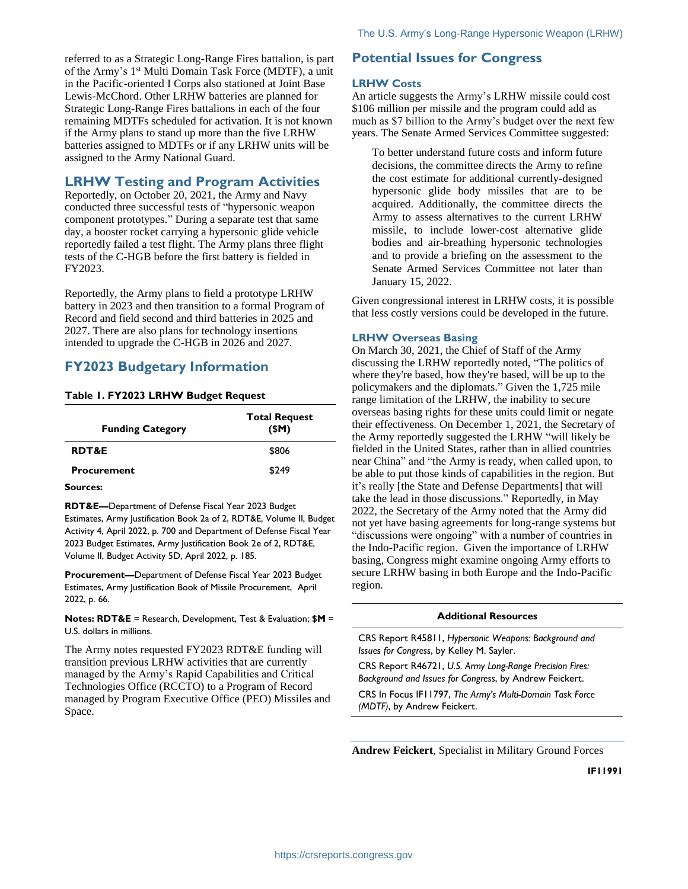referred to as a Strategic Long-Range Fires battalion, is part of the Army's 1<sup>st</sup> Multi Domain Task Force (MDTF), a unit in the Pacific-oriented I Corps also stationed at Joint Base Lewis-McChord. Other LRHW batteries are planned for Strategic Long-Range Fires battalions in each of the four remaining MDTFs scheduled for activation. It is not known if the Army plans to stand up more than the five LRHW batteries assigned to MDTFs or if any LRHW units will be assigned to the Army National Guard.

## **LRHW Testing and Program Activities**

Reportedly, on October 20, 2021, the Army and Navy conducted three successful tests of "hypersonic weapon component prototypes." During a separate test that same day, a booster rocket carrying a hypersonic glide vehicle reportedly failed a test flight. The Army plans three flight tests of the C-HGB before the first battery is fielded in FY2023.

Reportedly, the Army plans to field a prototype LRHW battery in 2023 and then transition to a formal Program of Record and field second and third batteries in 2025 and 2027. There are also plans for technology insertions intended to upgrade the C-HGB in 2026 and 2027.

## **FY2023 Budgetary Information**

## **Table 1. FY2023 LRHW Budget Request**

| <b>Funding Category</b> | <b>Total Request</b><br>(SM) |
|-------------------------|------------------------------|
| <b>RDT&amp;E</b>        | \$806                        |
| <b>Procurement</b>      | \$249                        |

#### **Sources:**

**RDT&E—**Department of Defense Fiscal Year 2023 Budget Estimates, Army Justification Book 2a of 2, RDT&E, Volume II, Budget Activity 4, April 2022, p. 700 and Department of Defense Fiscal Year 2023 Budget Estimates, Army Justification Book 2e of 2, RDT&E, Volume II, Budget Activity 5D, April 2022, p. 185.

**Procurement—**Department of Defense Fiscal Year 2023 Budget Estimates, Army Justification Book of Missile Procurement, April 2022, p. 66.

**Notes: RDT&E** = Research, Development, Test & Evaluation; **\$M** = U.S. dollars in millions.

The Army notes requested FY2023 RDT&E funding will transition previous LRHW activities that are currently managed by the Army's Rapid Capabilities and Critical Technologies Office (RCCTO) to a Program of Record managed by Program Executive Office (PEO) Missiles and Space.

## **Potential Issues for Congress**

### **LRHW Costs**

An article suggests the Army's LRHW missile could cost \$106 million per missile and the program could add as much as \$7 billion to the Army's budget over the next few years. The Senate Armed Services Committee suggested:

To better understand future costs and inform future decisions, the committee directs the Army to refine the cost estimate for additional currently-designed hypersonic glide body missiles that are to be acquired. Additionally, the committee directs the Army to assess alternatives to the current LRHW missile, to include lower-cost alternative glide bodies and air-breathing hypersonic technologies and to provide a briefing on the assessment to the Senate Armed Services Committee not later than January 15, 2022.

Given congressional interest in LRHW costs, it is possible that less costly versions could be developed in the future.

#### **LRHW Overseas Basing**

On March 30, 2021, the Chief of Staff of the Army discussing the LRHW reportedly noted, "The politics of where they're based, how they're based, will be up to the policymakers and the diplomats." Given the 1,725 mile range limitation of the LRHW, the inability to secure overseas basing rights for these units could limit or negate their effectiveness. On December 1, 2021, the Secretary of the Army reportedly suggested the LRHW "will likely be fielded in the United States, rather than in allied countries near China" and "the Army is ready, when called upon, to be able to put those kinds of capabilities in the region. But it's really [the State and Defense Departments] that will take the lead in those discussions." Reportedly, in May 2022, the Secretary of the Army noted that the Army did not yet have basing agreements for long-range systems but "discussions were ongoing" with a number of countries in the Indo-Pacific region. Given the importance of LRHW basing, Congress might examine ongoing Army efforts to secure LRHW basing in both Europe and the Indo-Pacific region.

#### **Additional Resources**

CRS Report R45811, *Hypersonic Weapons: Background and Issues for Congress*, by Kelley M. Sayler.

CRS Report R46721, *U.S. Army Long-Range Precision Fires: Background and Issues for Congress*, by Andrew Feickert.

CRS In Focus IF11797, *The Army's Multi-Domain Task Force (MDTF)*, by Andrew Feickert.

**Andrew Feickert**, Specialist in Military Ground Forces